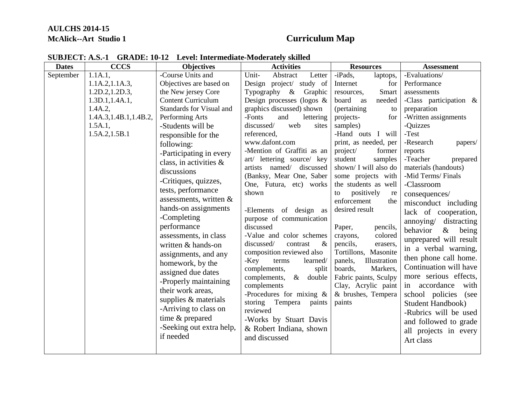## **AULCHS 2014-15 McAlick--Art Studio 1 Curriculum Map**

| <b>Dates</b> | <b>CCCS</b>             | <b>Objectives</b>         | <b>Activities</b>                     | <b>Resources</b>                             | <b>Assessment</b>         |
|--------------|-------------------------|---------------------------|---------------------------------------|----------------------------------------------|---------------------------|
| September    | 1.1A.1,                 | -Course Units and         | Unit-<br>Abstract<br>Letter           | -iPads,<br>laptops,                          | -Evaluations/             |
|              | 1.1A.2, 1.1A.3,         | Objectives are based on   | Design project/ study of              | Internet<br>for                              | Performance               |
|              | 1.2D.2, 1.2D.3,         | the New jersey Core       | Typography $\&$<br>Graphic            | Smart<br>resources,                          | assessments               |
|              | 1.3D.1, 1.4A.1,         | <b>Content Curriculum</b> | Design processes (logos $\&$          | board as<br>needed                           | -Class participation $\&$ |
|              | 1.4A.2,                 | Standards for Visual and  | graphics discussed) shown             | (pertaining)<br>to                           | preparation               |
|              | 1.4A.3, 1.4B.1, 1.4B.2, | Performing Arts           | -Fonts<br>and<br>lettering            | projects-<br>for                             | -Written assignments      |
|              | 1.5A.1,                 | -Students will be         | discussed/<br>web<br>sites            | samples)                                     | -Quizzes                  |
|              | 1.5A.2, 1.5B.1          | responsible for the       | referenced,                           | -Hand outs I will                            | -Test                     |
|              |                         | following:                | www.dafont.com                        | print, as needed, per                        | -Research<br>papers/      |
|              |                         | -Participating in every   | -Mention of Graffiti as an            | project/<br>former                           | reports                   |
|              |                         | class, in activities $\&$ | art/ lettering source/ key            | student<br>samples                           | -Teacher<br>prepared      |
|              |                         | discussions               | artists named/ discussed              | shown/ I will also do                        | materials (handouts)      |
|              |                         | -Critiques, quizzes,      | (Banksy, Mear One, Saber              | some projects with                           | -Mid Terms/Finals         |
|              |                         | tests, performance        | One, Futura, etc) works               | the students as well                         | -Classroom                |
|              |                         | assessments, written $\&$ | shown                                 | positively<br>to<br>re<br>enforcement        | consequences/             |
|              |                         | hands-on assignments      |                                       | the                                          | misconduct including      |
|              |                         | -Completing               | -Elements of design as                | desired result                               | lack of cooperation,      |
|              |                         | performance               | purpose of communication<br>discussed |                                              | annoying distracting      |
|              |                         |                           | -Value and color schemes              | Paper,<br>pencils,<br>colored                | behavior<br>$\&$<br>being |
|              |                         | assessments, in class     | discussed/<br>$\&$<br>contrast        | crayons,                                     | unprepared will result    |
|              |                         | written & hands-on        | composition reviewed also             | pencils,<br>erasers,<br>Tortillons, Masonite | in a verbal warning,      |
|              |                         | assignments, and any      | learned/<br>-Key                      | panels,<br>Illustration                      | then phone call home.     |
|              |                         | homework, by the          | terms<br>complements,                 | boards,<br>Markers,                          | Continuation will have    |
|              |                         | assigned due dates        | split<br>complements, & double        | Fabric paints, Sculpy                        | more serious effects,     |
|              |                         | -Properly maintaining     | complements                           | Clay, Acrylic paint                          | in accordance<br>with     |
|              |                         | their work areas,         | -Procedures for mixing $\&$           | & brushes, Tempera                           |                           |
|              |                         | supplies & materials      | storing Tempera<br>paints             | paints                                       | school policies<br>(see   |
|              |                         | -Arriving to class on     | reviewed                              |                                              | <b>Student Handbook</b> ) |
|              |                         | time & prepared           | -Works by Stuart Davis                |                                              | -Rubrics will be used     |
|              |                         | -Seeking out extra help,  |                                       |                                              | and followed to grade     |
|              |                         | if needed                 | & Robert Indiana, shown               |                                              | all projects in every     |
|              |                         |                           | and discussed                         |                                              | Art class                 |
|              |                         |                           |                                       |                                              |                           |

## **SUBJECT: A.S.-1 GRADE: 10-12 Level: Intermediate-Moderately skilled**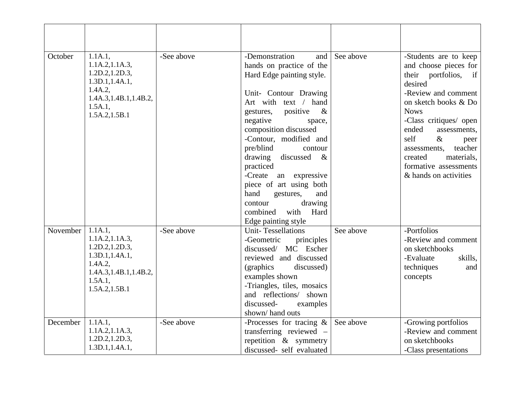| October  | 1.1A.1,<br>1.1A.2, 1.1A.3,<br>1.2D.2, 1.2D.3,<br>1.3D.1, 1.4A.1,<br>1.4A.2,<br>1.4A.3, 1.4B.1, 1.4B.2,<br>$1.5A.1$ ,<br>1.5A.2, 1.5B.1 | -See above | -Demonstration<br>and<br>hands on practice of the<br>Hard Edge painting style.<br>Unit- Contour Drawing<br>Art with text / hand<br>positive<br>$\&$<br>gestures,<br>negative<br>space,<br>composition discussed<br>-Contour, modified and<br>pre/blind<br>contour<br>drawing<br>discussed<br>$\&$<br>practiced<br>-Create<br>an expressive<br>piece of art using both<br>hand<br>gestures,<br>and<br>drawing<br>contour<br>Hard<br>combined<br>with<br>Edge painting style | See above | -Students are to keep<br>and choose pieces for<br>their portfolios,<br>if<br>desired<br>-Review and comment<br>on sketch books & Do<br><b>Nows</b><br>-Class critiques/ open<br>ended<br>assessments,<br>self<br>$\&$<br>peer<br>teacher<br>assessments.<br>materials,<br>created<br>formative assessments<br>& hands on activities |
|----------|----------------------------------------------------------------------------------------------------------------------------------------|------------|----------------------------------------------------------------------------------------------------------------------------------------------------------------------------------------------------------------------------------------------------------------------------------------------------------------------------------------------------------------------------------------------------------------------------------------------------------------------------|-----------|-------------------------------------------------------------------------------------------------------------------------------------------------------------------------------------------------------------------------------------------------------------------------------------------------------------------------------------|
| November | 1.1A.1,<br>1.1A.2, 1.1A.3,<br>1.2D.2, 1.2D.3,<br>1.3D.1, 1.4A.1,<br>1.4A.2,<br>1.4A.3, 1.4B.1, 1.4B.2,<br>1.5A.1,<br>1.5A.2, 1.5B.1    | -See above | <b>Unit-Tessellations</b><br>-Geometric<br>principles<br>discussed/ MC Escher<br>reviewed and discussed<br>(graphics)<br>discussed)<br>examples shown<br>-Triangles, tiles, mosaics<br>and reflections/ shown<br>discussed-<br>examples<br>shown/hand outs                                                                                                                                                                                                                 | See above | -Portfolios<br>-Review and comment<br>on sketchbooks<br>-Evaluate<br>skills.<br>techniques<br>and<br>concepts                                                                                                                                                                                                                       |
| December | 1.1A.1,<br>1.1A.2, 1.1A.3,<br>1.2D.2, 1.2D.3,<br>1.3D.1, 1.4A.1,                                                                       | -See above | -Processes for tracing $\&$<br>transferring reviewed -<br>repetition $\&$ symmetry<br>discussed- self evaluated                                                                                                                                                                                                                                                                                                                                                            | See above | -Growing portfolios<br>-Review and comment<br>on sketchbooks<br>-Class presentations                                                                                                                                                                                                                                                |